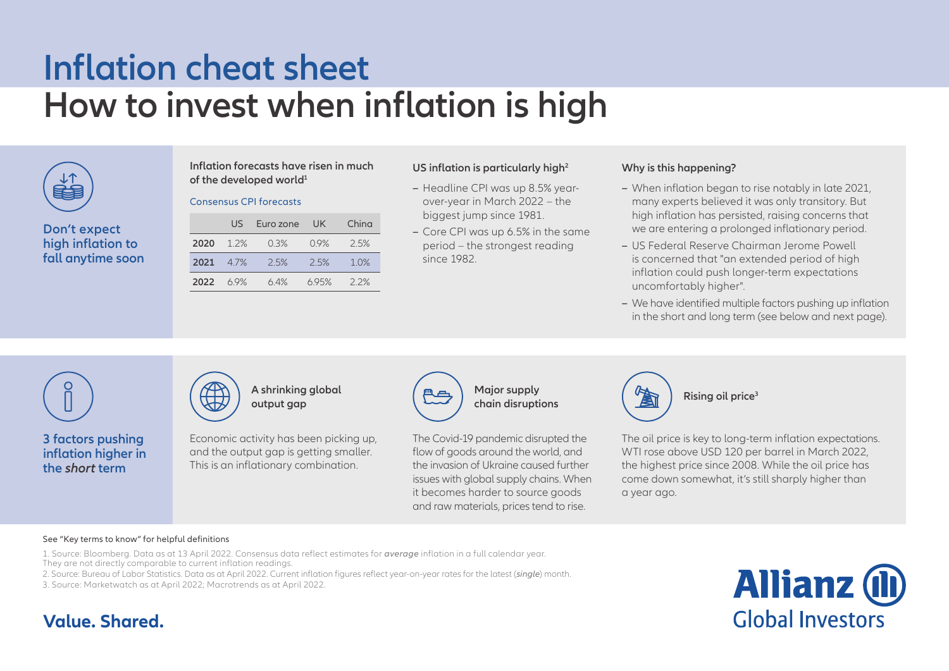# **Inflation cheat sheet How to invest when inflation is high**



**Don't expect high inflation to fall anytime soon** **Inflation forecasts have risen in much of the developed world<sup>1</sup>** 

### Consensus CPI forecasts

|  |          | US -              | Euro zone UK |      | China |
|--|----------|-------------------|--------------|------|-------|
|  |          | $2020 \quad 12\%$ | $0.3\%$      | 09%  | 2.5%  |
|  |          | 2021 4.7%         | 25%          | 2.5% | 10%   |
|  | 2022 69% |                   | 64%          | 695% | 22%   |

# **US inflation is particularly high<sup>2</sup>**

- **–** Headline CPI was up 8.5% yearover-year in March 2022 – the biggest jump since 1981.
- **–** Core CPI was up 6.5% in the same period – the strongest reading since 1982.

# **Why is this happening?**

- **–** When inflation began to rise notably in late 2021, many experts believed it was only transitory. But high inflation has persisted, raising concerns that we are entering a prolonged inflationary period.
- **–** US Federal Reserve Chairman Jerome Powell is concerned that "an extended period of high inflation could push longer-term expectations uncomfortably higher".
- **–** We have identified multiple factors pushing up inflation in the short and long term (see below and next page).



**3 factors pushing inflation higher in the** *short* **term**



**A shrinking global output gap**

Economic activity has been picking up, and the output gap is getting smaller. This is an inflationary combination.



**Major supply chain disruptions**

The Covid-19 pandemic disrupted the flow of goods around the world, and the invasion of Ukraine caused further issues with global supply chains. When it becomes harder to source goods and raw materials, prices tend to rise.



**Rising oil price<sup>3</sup>**

The oil price is key to long-term inflation expectations. WTI rose above USD 120 per barrel in March 2022, the highest price since 2008. While the oil price has come down somewhat, it's still sharply higher than a year ago.

#### See "Key terms to know" for helpful definitions

1. Source: Bloomberg. Data as at 13 April 2022. Consensus data reflect estimates for *average* inflation in a full calendar year. They are not directly comparable to current inflation readings.

2. Source: Bureau of Labor Statistics. Data as at April 2022. Current inflation figures reflect year-on-year rates for the latest (*single*) month.

3. Source: Marketwatch as at April 2022; Macrotrends as at April 2022.



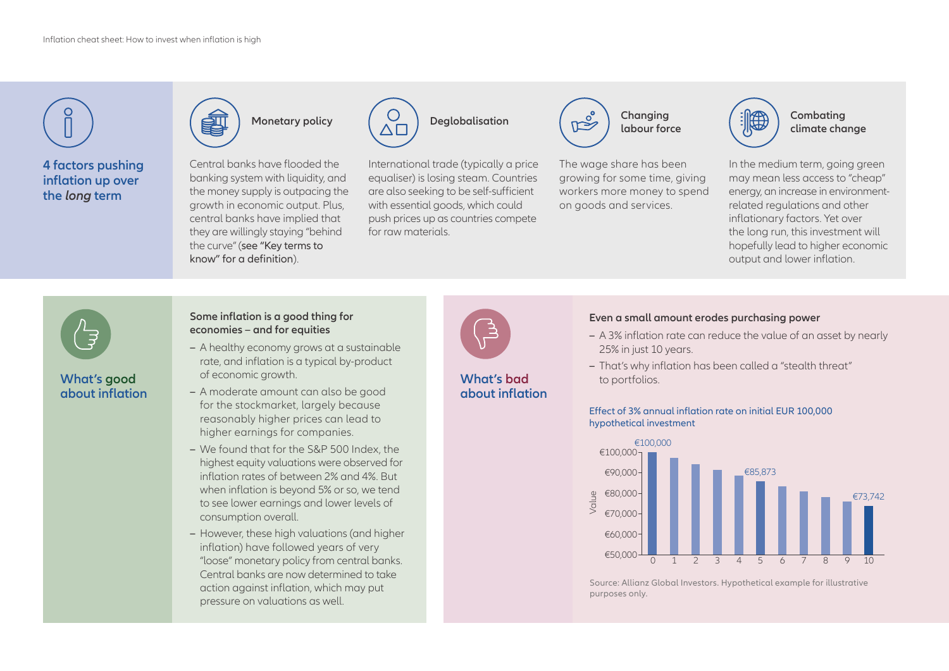

# **What's good about inflation**



- **–** A healthy economy grows at a sustainable rate, and inflation is a typical by-product of economic growth.
- **–** A moderate amount can also be good for the stockmarket, largely because reasonably higher prices can lead to higher earnings for companies.
- **–** We found that for the S&P 500 Index, the highest equity valuations were observed for inflation rates of between 2% and 4%. But when inflation is beyond 5% or so, we tend to see lower earnings and lower levels of consumption overall.
- **–** However, these high valuations (and higher inflation) have followed years of very "loose" monetary policy from central banks. Central banks are now determined to take action against inflation, which may put pressure on valuations as well.



**What's bad about inflation** 

# **Even a small amount erodes purchasing power**

- **–** A 3% inflation rate can reduce the value of an asset by nearly 25% in just 10 years.
- **–** That's why inflation has been called a "stealth threat" to portfolios.

Effect of 3% annual inflation rate on initial EUR 100,000

hypothetical investment



Source: Allianz Global Investors. Hypothetical example for illustrative purposes only.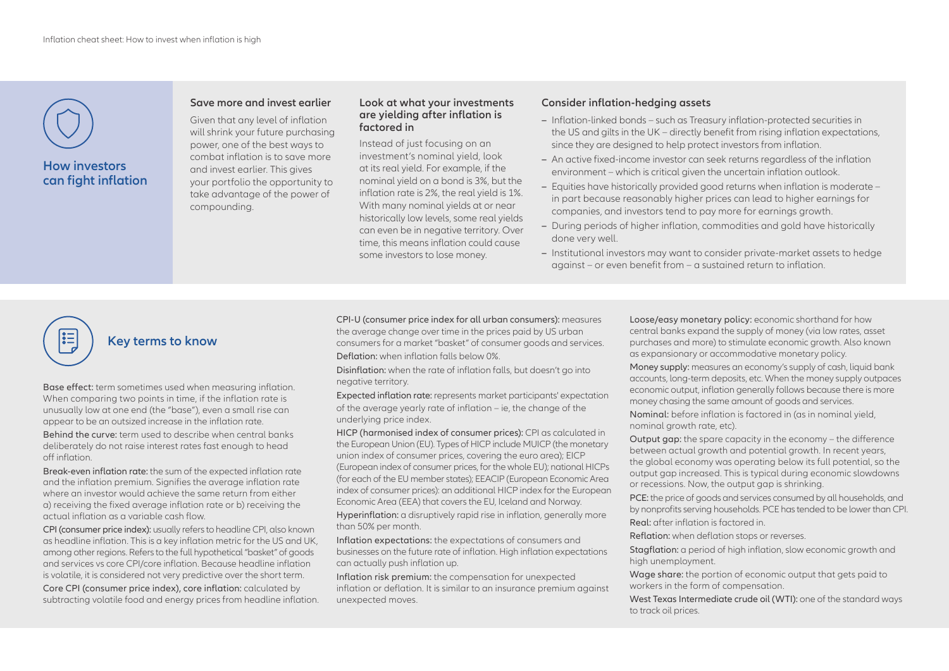

# **How investors can fight inflation**

# **Save more and invest earlier**

Given that any level of inflation will shrink your future purchasing power, one of the best ways to combat inflation is to save more and invest earlier. This gives your portfolio the opportunity to take advantage of the power of compounding.

#### **Look at what your investments are yielding after inflation is factored in**

Instead of just focusing on an investment's nominal yield, look at its real yield. For example, if the nominal yield on a bond is 3%, but the inflation rate is 2%, the real yield is 1%. With many nominal yields at or near historically low levels, some real yields can even be in negative territory. Over time, this means inflation could cause some investors to lose money.

## **Consider inflation-hedging assets**

- **–** Inflation-linked bonds such as Treasury inflation-protected securities in the US and gilts in the UK – directly benefit from rising inflation expectations, since they are designed to help protect investors from inflation.
- **–** An active fixed-income investor can seek returns regardless of the inflation environment – which is critical given the uncertain inflation outlook.
- **–** Equities have historically provided good returns when inflation is moderate in part because reasonably higher prices can lead to higher earnings for companies, and investors tend to pay more for earnings growth.
- **–** During periods of higher inflation, commodities and gold have historically done very well.
- **–** Institutional investors may want to consider private-market assets to hedge against – or even benefit from – a sustained return to inflation.

# **Key terms to know**

Base effect: term sometimes used when measuring inflation. When comparing two points in time, if the inflation rate is unusually low at one end (the "base"), even a small rise can appear to be an outsized increase in the inflation rate.

Behind the curve: term used to describe when central banks deliberately do not raise interest rates fast enough to head off inflation.

Break-even inflation rate: the sum of the expected inflation rate and the inflation premium. Signifies the average inflation rate where an investor would achieve the same return from either a) receiving the fixed average inflation rate or b) receiving the actual inflation as a variable cash flow.

CPI (consumer price index): usually refers to headline CPI, also known as headline inflation. This is a key inflation metric for the US and UK, among other regions. Refers to the full hypothetical "basket" of goods and services vs core CPI/core inflation. Because headline inflation is volatile, it is considered not very predictive over the short term.

Core CPI (consumer price index), core inflation: calculated by subtracting volatile food and energy prices from headline inflation. CPI-U (consumer price index for all urban consumers): measures the average change over time in the prices paid by US urban consumers for a market "basket" of consumer goods and services. Deflation: when inflation falls below 0%.

Disinflation: when the rate of inflation falls, but doesn't go into negative territory.

Expected inflation rate: represents market participants' expectation of the average yearly rate of inflation – ie, the change of the underlying price index.

HICP (harmonised index of consumer prices): CPI as calculated in the European Union (EU). Types of HICP include MUICP (the monetary union index of consumer prices, covering the euro area); EICP (European index of consumer prices, for the whole EU); national HICPs (for each of the EU member states); EEACIP (European Economic Area index of consumer prices): an additional HICP index for the European Economic Area (EEA) that covers the EU, Iceland and Norway.

Hyperinflation: a disruptively rapid rise in inflation, generally more than 50% per month.

Inflation expectations: the expectations of consumers and businesses on the future rate of inflation. High inflation expectations can actually push inflation up.

Inflation risk premium: the compensation for unexpected inflation or deflation. It is similar to an insurance premium against unexpected moves.

Loose/easy monetary policy: economic shorthand for how central banks expand the supply of money (via low rates, asset purchases and more) to stimulate economic growth. Also known as expansionary or accommodative monetary policy.

Money supply: measures an economy's supply of cash, liquid bank accounts, long-term deposits, etc. When the money supply outpaces economic output, inflation generally follows because there is more money chasing the same amount of goods and services.

Nominal: before inflation is factored in (as in nominal yield, nominal growth rate, etc).

Output gap: the spare capacity in the economy – the difference between actual growth and potential growth. In recent years, the global economy was operating below its full potential, so the output gap increased. This is typical during economic slowdowns or recessions. Now, the output gap is shrinking.

PCE: the price of goods and services consumed by all households, and by nonprofits serving households. PCE has tended to be lower than CPI. Real: after inflation is factored in.

Reflation: when deflation stops or reverses.

Stagflation: a period of high inflation, slow economic growth and

high unemployment.

Wage share: the portion of economic output that gets paid to workers in the form of compensation.

West Texas Intermediate crude oil (WTI): one of the standard ways to track oil prices.